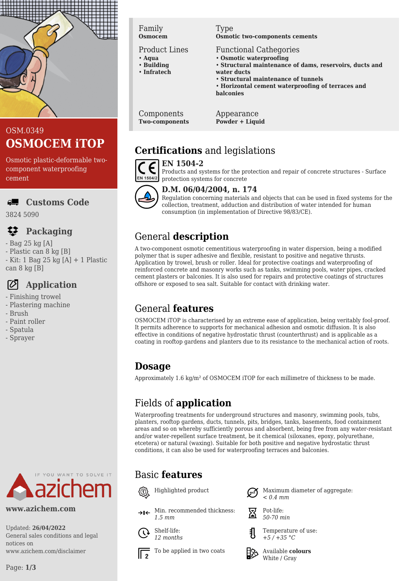

# OSM.0349 **OSMOCEM iTOP**

Osmotic plastic-deformable twocomponent waterproofing cement

# **Customs Code**

3824 5090

## **Packaging**

- Bag 25 kg [A]
- Plastic can 8 kg [B]
- Kit: 1 Bag 25 kg [A] + 1 Plastic can 8 kg [B]

# **Application**

- Finishing trowel
- Plastering machine
- Brush
- Paint roller
- Spatula
- Sprayer



## **www.azichem.com**

Updated: **26/04/2022** General sales conditions and legal notices on www.azichem.com/disclaimer

#### Family **Osmocem**

Product Lines

- **Aqua** • **Building**
- **Infratech**
- 

Type **Osmotic two-components cements**

- Functional Cathegories
- **Osmotic waterproofing**
- **Structural maintenance of dams, reservoirs, ducts and water ducts**
- **Structural maintenance of tunnels**
- **Horizontal cement waterproofing of terraces and balconies**

Components **Two-components** Appearance **Powder + Liquid**

# **Certifications** and legislations

#### **EN 1504-2** CE



#### Products and systems for the protection and repair of concrete structures - Surface protection systems for concrete



Regulation concerning materials and objects that can be used in fixed systems for the collection, treatment, adduction and distribution of water intended for human consumption (in implementation of Directive 98/83/CE).

# General **description**

A two-component osmotic cementitious waterproofing in water dispersion, being a modified polymer that is super adhesive and flexible, resistant to positive and negative thrusts. Application by trowel, brush or roller. Ideal for protective coatings and waterproofing of reinforced concrete and masonry works such as tanks, swimming pools, water pipes, cracked cement plasters or balconies. It is also used for repairs and protective coatings of structures offshore or exposed to sea salt. Suitable for contact with drinking water.

# General **features**

OSMOCEM iTOP is characterised by an extreme ease of application, being veritably fool-proof. It permits adherence to supports for mechanical adhesion and osmotic diffusion. It is also effective in conditions of negative hydrostatic thrust (counterthrust) and is applicable as a coating in rooftop gardens and planters due to its resistance to the mechanical action of roots.

# **Dosage**

Approximately 1.6 kg/m² of OSMOCEM iTOP for each millimetre of thickness to be made.

# Fields of **application**

Waterproofing treatments for underground structures and masonry, swimming pools, tubs, planters, rooftop gardens, ducts, tunnels, pits, bridges, tanks, basements, food containment areas and so on whereby sufficiently porous and absorbent, being free from any water-resistant and/or water-repellent surface treatment, be it chemical (siloxanes, epoxy, polyurethane, etcetera) or natural (waxing). Suitable for both positive and negative hydrostatic thrust conditions, it can also be used for waterproofing terraces and balconies.

# Basic **features**



Min. recommended thickness: *1.5 mm*



To be applied in two coats  $\Box$  Available **colours** 

*< 0.4 mm*



Pot-life: *50-70 min*

Temperature of use: *+5 / +35 °C*



White / Gray

Highlighted product  $\bigcap_{n\in\mathbb{N}}$  Maximum diameter of aggregate: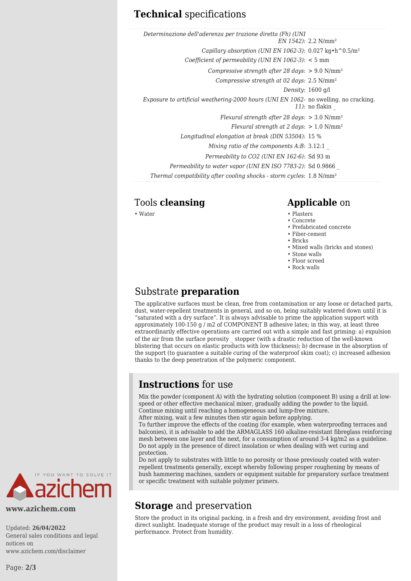### **Technical** specifications

| Determinazione dell'aderenza per trazione diretta (Fh) (UNI                              | $EN 1542$ : 2.2 N/mm <sup>2</sup> |
|------------------------------------------------------------------------------------------|-----------------------------------|
| Capillary absorption (UNI EN 1062-3): $0.027 \text{ kg} \cdot \text{h}^0 0.5/\text{m}^2$ |                                   |
| Coefficient of permeability (UNI EN 1062-3): < 5 mm                                      |                                   |
| Compressive strength after 28 days: $> 9.0$ N/mm <sup>2</sup>                            |                                   |
| Compressive strength at 02 days: $2.5 \text{ N/mm}^2$                                    |                                   |
| Density: $1600$ g/l                                                                      |                                   |
| Exposure to artificial weathering-2000 hours (UNI EN 1062- no swelling. no cracking.     | $11$ : no flakin                  |
| Flexural strength after 28 days: $>$ 3.0 N/mm <sup>2</sup>                               |                                   |
| Flexural strength at 2 days: $> 1.0$ N/mm <sup>2</sup>                                   |                                   |
| Longitudinal elongation at break (DIN 53504): 15 %                                       |                                   |
| Mixing ratio of the components $A:B: 3.12:1$                                             |                                   |
| Permeability to CO2 (UNI EN 162-6): Sd 93 m                                              |                                   |
| Permeability to water vapor (UNI EN ISO 7783-2): Sd 0.9866                               |                                   |
| Thermal compatibility after cooling shocks - storm cycles: 1.8 N/mm <sup>2</sup>         |                                   |
|                                                                                          |                                   |

#### Tools **cleansing Applicable** on

- Water Plasters
	- Concrete
	- Prefabricated concrete
	- Fiber-cement
	- Bricks
	- Mixed walls (bricks and stones)
	- Stone walls
	- Floor screed
	- Rock walls

#### Substrate **preparation**

The applicative surfaces must be clean, free from contamination or any loose or detached parts, dust, water-repellent treatments in general, and so on, being suitably watered down until it is "saturated with a dry surface". It is always advisable to prime the application support with approximately 100-150 g / m2 of COMPONENT B adhesive latex; in this way, at least three extraordinarily effective operations are carried out with a simple and fast priming: a) expulsion of the air from the surface porosity \_ stopper (with a drastic reduction of the well-known blistering that occurs on elastic products with low thickness); b) decrease in the absorption of the support (to guarantee a suitable curing of the waterproof skim coat); c) increased adhesion thanks to the deep penetration of the polymeric component.

## **Instructions** for use

Mix the powder (component A) with the hydrating solution (component B) using a drill at lowspeed or other effective mechanical mixer, gradually adding the powder to the liquid. Continue mixing until reaching a homogeneous and lump-free mixture.

After mixing, wait a few minutes then stir again before applying.

To further improve the effects of the coating (for example, when waterproofing terraces and balconies), it is advisable to add the ARMAGLASS 160 alkaline-resistant fibreglass reinforcing mesh between one layer and the next, for a consumption of around 3-4 kg/m2 as a guideline. Do not apply in the presence of direct insolation or when dealing with wet curing and protection.

Do not apply to substrates with little to no porosity or those previously coated with waterrepellent treatments generally, except whereby following proper roughening by means of bush hammering machines, sanders or equipment suitable for preparatory surface treatment or specific treatment with suitable polymer primers.

## **Storage** and preservation

Store the product in its original packing, in a fresh and dry environment, avoiding frost and direct sunlight. Inadequate storage of the product may result in a loss of rheological performance. Protect from humidity.



#### **www.azichem.com**

Updated: **26/04/2022** General sales conditions and legal notices on www.azichem.com/disclaimer